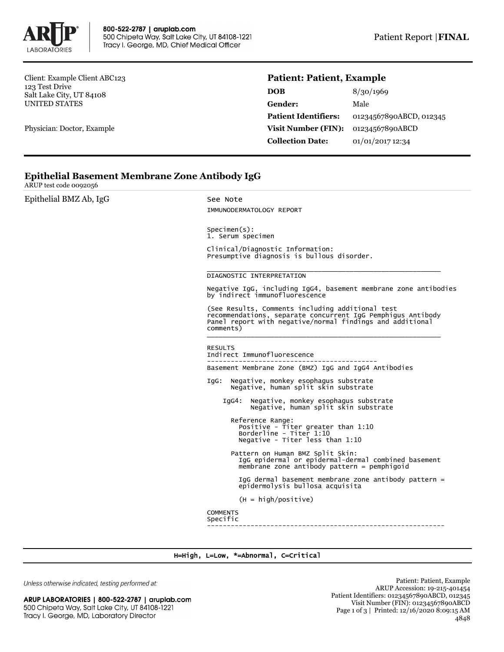

Client: Example Client ABC123 123 Test Drive Salt Lake City, UT 84108 UNITED STATES

Physician: Doctor, Example

## **Patient: Patient, Example**

| DOB                         | 8/30/1969               |
|-----------------------------|-------------------------|
| Gender:                     | Male                    |
| <b>Patient Identifiers:</b> | 01234567890ABCD, 012345 |
| <b>Visit Number (FIN):</b>  | 01234567890ABCD         |
| <b>Collection Date:</b>     | 01/01/2017 12:34        |

## **Epithelial Basement Membrane Zone Antibody IgG**

ARUP test code 0092056

| Epithelial BMZ Ab, IgG | See Note<br>IMMUNODERMATOLOGY REPORT                                                                                                                                                      |  |  |  |
|------------------------|-------------------------------------------------------------------------------------------------------------------------------------------------------------------------------------------|--|--|--|
|                        | $Specimen(s)$ :<br>1. Serum specimen                                                                                                                                                      |  |  |  |
|                        | Clinical/Diagnostic Information:<br>Presumptive diagnosis is bullous disorder.                                                                                                            |  |  |  |
|                        | DIAGNOSTIC INTERPRETATION                                                                                                                                                                 |  |  |  |
|                        | Negative IgG, including IgG4, basement membrane zone antibodies<br>by indirect immunofluorescence                                                                                         |  |  |  |
|                        | (See Results, Comments including additional test<br>recommendations, separate concurrent IgG Pemphigus Antibody<br>Panel report with negative/normal findings and additional<br>comments) |  |  |  |
|                        | <b>RESULTS</b><br>Indirect Immunofluorescence                                                                                                                                             |  |  |  |
|                        | Basement Membrane Zone (BMZ) IgG and IgG4 Antibodies                                                                                                                                      |  |  |  |
|                        | IgG: Negative, monkey esophagus substrate<br>Negative, human split skin substrate                                                                                                         |  |  |  |
|                        | Negative, monkey esophagus substrate<br>IaG4:<br>Negative, human split skin substrate                                                                                                     |  |  |  |
|                        | Reference Range:<br>Positive - Titer greater than 1:10<br>Borderline - Titer 1:10<br>Negative - Titer less than 1:10                                                                      |  |  |  |
|                        | Pattern on Human BMZ Split Skin:<br>IgG epidermal or epidermal-dermal combined basement<br>$m$ embrane zone antibody pattern = pemphigoid                                                 |  |  |  |
|                        | IgG dermal basement membrane zone antibody pattern =<br>epidermolysis bullosa acquisita                                                                                                   |  |  |  |
|                        | $(H = high/positive)$                                                                                                                                                                     |  |  |  |
|                        | <b>COMMENTS</b><br>Specific                                                                                                                                                               |  |  |  |
|                        |                                                                                                                                                                                           |  |  |  |

H=High, L=Low, \*=Abnormal, C=Critical

Unless otherwise indicated, testing performed at:

| 500 Chipeta Way, Salt Lake City, UT 84108-1221 |  |
|------------------------------------------------|--|
| Tracy I. George, MD, Laboratory Director       |  |

Patient: Patient, Example ARUP Accession: 19-215-401454 Patient Identifiers: 01234567890ABCD, 012345 Visit Number (FIN): 01234567890ABCD Page 1 of 3 | Printed: 12/16/2020 8:09:15 AM 4848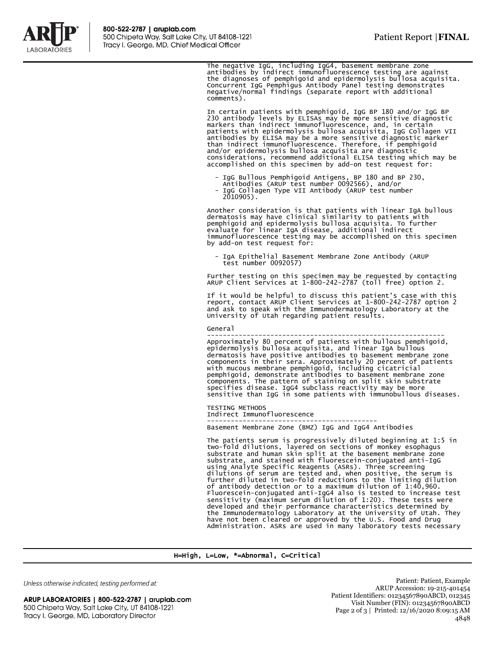

The negative IgG, including IgG4, basement membrane zone<br>antibodies by indirect immunofluorescence testing are against<br>the diagnoses of pemphigoid and epidermolysis bullosa acquisita.<br>Concurrent IgG Pemphigus Antibody Pane comments).

In certain patients with pemphigoid, IgG BP 180 and/or IgG BP 230 antibody levels by ELISAs may be more sensitive diagnostic<br>markers than indirect immunofluorescence, and, in certain<br>patients with epidermolysis bullosa acquisita, IgG Collagen VII<br>antibodies by ELISA may be a more sen than indirect immunofluorescence. Therefore, if pemphigoid and/or epidermolysis bullosa acquisita are diagnostic considerations, recommend additional ELISA testing which may be accomplished on this specimen by add-on test request for:

- 
- IgG Bullous Pemphigoid Antigens, BP 180 and BP 230, Antibodies (ARUP test number 0092566), and/or - IgG Collagen Type VII Antibody (ARUP test number 2010905).

Another consideration is that patients with linear IgA bullous dermatosis may have clinical similarity to patients with pemphigoid and epidermolysis bullosa acquisita. To further evaluate for linear IgA disease, additional indirect immunofluorescence testing may be accomplished on this specimen by add-on test request for:

IgA Epithelial Basement Membrane Zone Antibody (ARUP test number 0092057)

Further testing on this specimen may be requested by contacting ARUP Client Services at 1-800-242-2787 (toll free) option 2.

If it would be helpful to discuss this patient's case with this report, contact ARUP Client Services at 1-800-242-2787 option 2 and ask to speak with the Immunodermatology Laboratory at the University of Utah regarding patient results.

## General

Approximately 80 percent of patients with bullous pemphigoid,<br>epidermolysis bullosa acquisita, and linear IgA bullous<br>dermatosis have positive antibodies to basement membrane zone<br>components in their sera. Approximately 20 pemphigoid, demonstrate antibodies to basement membrane zone components. The pattern of staining on split skin substrate specifies disease. IgG4 subclass reactivity may be more sensitive than IgG in some patients with immunobullous diseases.

TESTING METHODS Indirect Immunofluorescence -------------------------------------------

Basement Membrane Zone (BMZ) IgG and IgG4 Antibodies

The patients serum is progressively diluted beginning at 1:5 in two-fold dilutions, layered on sections of monkey esophagus substrate and human skin split at the basement membrane zone substrate, and stained with fluorescein-conjugated anti-IgG using Analyte Specific Reagents (ASRs). Three screening<br>dilutions of serum are tested and, when positive, the serum is<br>further diluted in two-fold reductions to the limiting dilution<br>of antibody detection or to a maximum d have not been cleared or approved by the U.S. Food and Drug Administration. ASRs are used in many laboratory tests necessary

## H=High, L=Low, \*=Abnormal, C=Critical

Unless otherwise indicated, testing performed at:

ARUP LABORATORIES | 800-522-2787 | aruplab.com 500 Chipeta Way, Salt Lake City, UT 84108-1221 Tracy I. George, MD, Laboratory Director

Patient: Patient, Example ARUP Accession: 19-215-401454 Patient Identifiers: 01234567890ABCD, 012345 Visit Number (FIN): 01234567890ABCD Page 2 of 3 | Printed: 12/16/2020 8:09:15 AM 4848